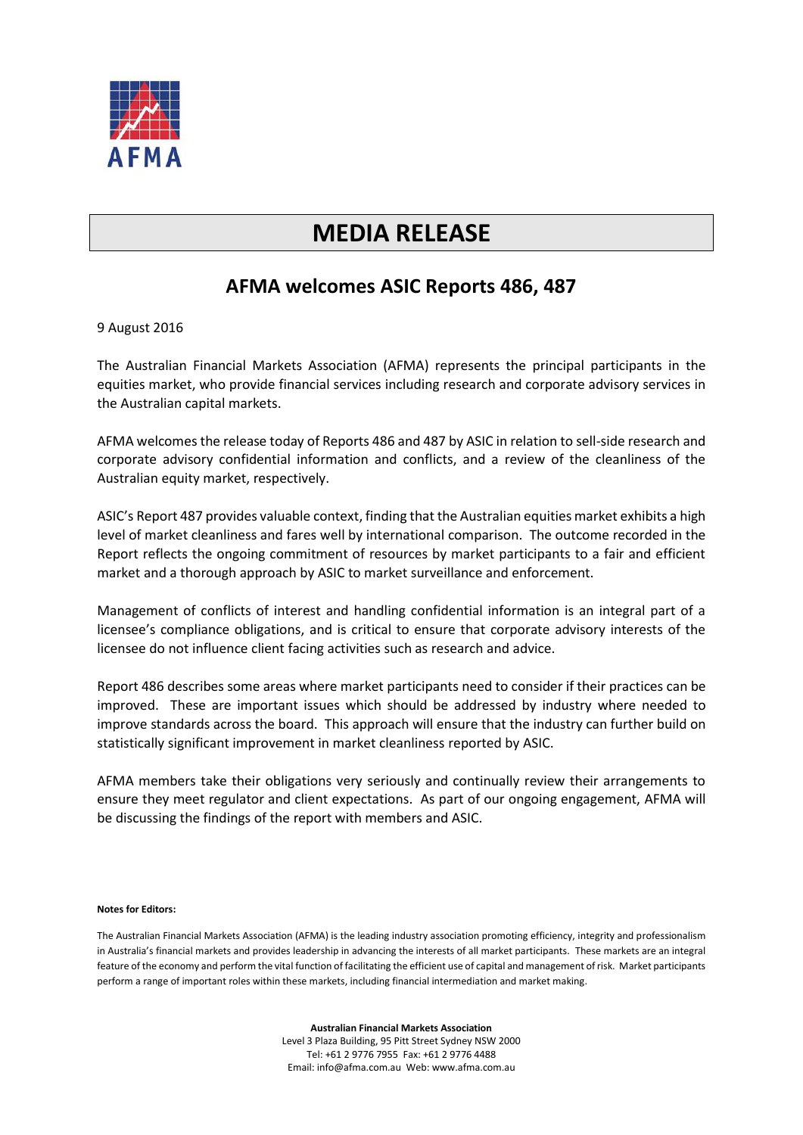

## **MEDIA RELEASE**

## **AFMA welcomes ASIC Reports 486, 487**

## 9 August 2016

The Australian Financial Markets Association (AFMA) represents the principal participants in the equities market, who provide financial services including research and corporate advisory services in the Australian capital markets.

AFMA welcomes the release today of Reports 486 and 487 by ASIC in relation to sell-side research and corporate advisory confidential information and conflicts, and a review of the cleanliness of the Australian equity market, respectively.

ASIC's Report 487 provides valuable context, finding that the Australian equities market exhibits a high level of market cleanliness and fares well by international comparison. The outcome recorded in the Report reflects the ongoing commitment of resources by market participants to a fair and efficient market and a thorough approach by ASIC to market surveillance and enforcement.

Management of conflicts of interest and handling confidential information is an integral part of a licensee's compliance obligations, and is critical to ensure that corporate advisory interests of the licensee do not influence client facing activities such as research and advice.

Report 486 describes some areas where market participants need to consider if their practices can be improved. These are important issues which should be addressed by industry where needed to improve standards across the board. This approach will ensure that the industry can further build on statistically significant improvement in market cleanliness reported by ASIC.

AFMA members take their obligations very seriously and continually review their arrangements to ensure they meet regulator and client expectations. As part of our ongoing engagement, AFMA will be discussing the findings of the report with members and ASIC.

## **Notes for Editors:**

The Australian Financial Markets Association (AFMA) is the leading industry association promoting efficiency, integrity and professionalism in Australia's financial markets and provides leadership in advancing the interests of all market participants. These markets are an integral feature of the economy and perform the vital function of facilitating the efficient use of capital and management of risk. Market participants perform a range of important roles within these markets, including financial intermediation and market making.

> **Australian Financial Markets Association** Level 3 Plaza Building, 95 Pitt Street Sydney NSW 2000 Tel: +61 2 9776 7955 Fax: +61 2 9776 4488 Email: info@afma.com.au Web: www.afma.com.au